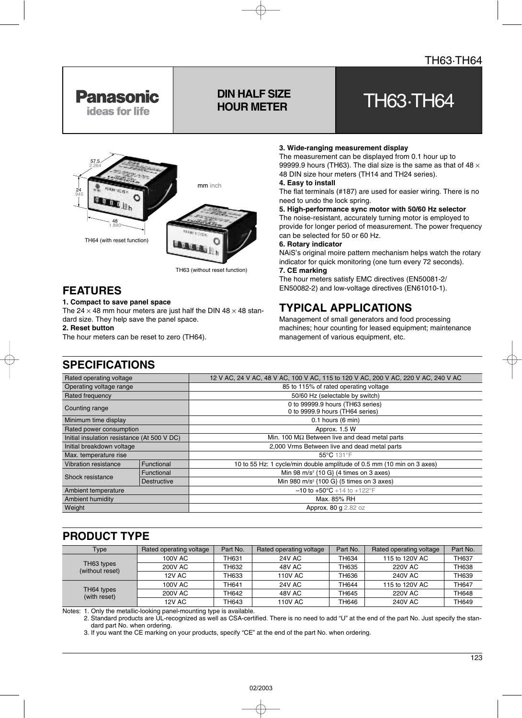

# **DIN HALF SIZE**

## PIN HALF SIZE<br>HOUR METER



TH63 (without reset function)

## **FEATURES**

#### **1. Compact to save panel space**

The 24  $\times$  48 mm hour meters are just half the DIN 48  $\times$  48 standard size. They help save the panel space.

**2. Reset button**

The hour meters can be reset to zero (TH64).

#### **3. Wide-ranging measurement display**

The measurement can be displayed from 0.1 hour up to 99999.9 hours (TH63). The dial size is the same as that of 48  $\times$ 48 DIN size hour meters (TH14 and TH24 series).

#### **4. Easy to install**

The flat terminals (#187) are used for easier wiring. There is no need to undo the lock spring.

#### **5. High-performance sync motor with 50/60 Hz selector**

The noise-resistant, accurately turning motor is employed to provide for longer period of measurement. The power frequency can be selected for 50 or 60 Hz.

#### **6. Rotary indicator**

NAiS's original moire pattern mechanism helps watch the rotary indicator for quick monitoring (one turn every 72 seconds).

### **7. CE marking**

The hour meters satisfy EMC directives (EN50081-2/ EN50082-2) and low-voltage directives (EN61010-1).

## **TYPICAL APPLICATIONS**

Management of small generators and food processing machines; hour counting for leased equipment; maintenance management of various equipment, etc.

| Rated operating voltage                     |             | 12 V AC, 24 V AC, 48 V AC, 100 V AC, 115 to 120 V AC, 200 V AC, 220 V AC, 240 V AC |  |  |  |  |
|---------------------------------------------|-------------|------------------------------------------------------------------------------------|--|--|--|--|
| Operating voltage range                     |             | 85 to 115% of rated operating voltage                                              |  |  |  |  |
| Rated frequency                             |             | 50/60 Hz (selectable by switch)                                                    |  |  |  |  |
| Counting range                              |             | 0 to 99999.9 hours (TH63 series)<br>0 to 9999.9 hours (TH64 series)                |  |  |  |  |
| Minimum time display                        |             | $0.1$ hours $(6 \text{ min})$                                                      |  |  |  |  |
| Rated power consumption                     |             | Approx. 1.5 W                                                                      |  |  |  |  |
| Initial insulation resistance (At 500 V DC) |             | Min. 100 $\text{M}\Omega$ Between live and dead metal parts                        |  |  |  |  |
| Initial breakdown voltage                   |             | 2,000 Vrms Between live and dead metal parts                                       |  |  |  |  |
| Max. temperature rise                       |             | 55°C 131°F                                                                         |  |  |  |  |
| Vibration resistance                        | Functional  | 10 to 55 Hz: 1 cycle/min double amplitude of 0.5 mm (10 min on 3 axes)             |  |  |  |  |
| Shock resistance                            | Functional  | Min 98 m/s <sup>2</sup> {10 G} (4 times on 3 axes)                                 |  |  |  |  |
|                                             | Destructive | Min 980 m/s <sup>2</sup> {100 G} (5 times on 3 axes)                               |  |  |  |  |
| Ambient temperature                         |             | $-10$ to $+50^{\circ}$ C +14 to +122°F                                             |  |  |  |  |
| Ambient humidity                            |             | Max. 85% RH                                                                        |  |  |  |  |
| Weight                                      |             | Approx. 80 g 2.82 oz                                                               |  |  |  |  |
|                                             |             |                                                                                    |  |  |  |  |

## **PRODUCT TYPE**

| Type                          | Rated operating voltage | Part No. | Rated operating voltage | Part No. | Rated operating voltage | Part No.     |
|-------------------------------|-------------------------|----------|-------------------------|----------|-------------------------|--------------|
| TH63 types<br>(without reset) | 100V AC                 | TH631    | 24V AC                  | TH634    | 115 to 120V AC          | <b>TH637</b> |
|                               | 200V AC                 | TH632    | 48V AC                  | TH635    | 220V AC                 | TH638        |
|                               | 12V AC                  | TH633    | 110V AC                 | TH636    | 240V AC                 | TH639        |
| TH64 types<br>(with reset)    | 100V AC                 | TH641    | 24V AC                  | TH644    | 115 to 120V AC          | <b>TH647</b> |
|                               | 200V AC                 | TH642    | 48V AC                  | TH645    | 220V AC                 | TH648        |
|                               | 12V AC                  | TH643    | <b>110V AC</b>          | TH646    | <b>240V AC</b>          | TH649        |

Notes: 1. Only the metallic-looking panel-mounting type is available.

2. Standard products are UL-recognized as well as CSA-certified. There is no need to add "U" at the end of the part No. Just specify the standard part No. when ordering.

3. If you want the CE marking on your products, specify "CE" at the end of the part No. when ordering.